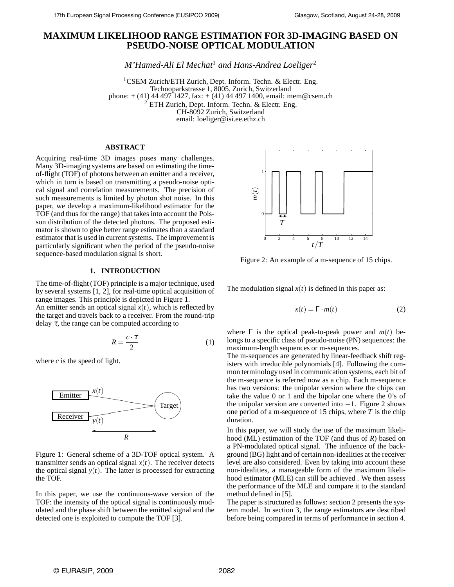# **MAXIMUM LIKELIHOOD RANGE ESTIMATION FOR 3D-IMAGING BASED ON PSEUDO-NOISE OPTICAL MODULATION**

*M'Hamed-Ali El Mechat*<sup>1</sup> *and Hans-Andrea Loeliger*<sup>2</sup>

<sup>1</sup>CSEM Zurich/ETH Zurich, Dept. Inform. Techn. & Electr. Eng. Technoparkstrasse 1, 8005, Zurich, Switzerland phone:  $+$  (41) 44 497 1427, fax:  $+$  (41) 44 497 1400, email: mem@csem.ch  $2$  ETH Zurich, Dept. Inform. Techn. & Electr. Eng. CH-8092 Zurich, Switzerland email: loeliger@isi.ee.ethz.ch

## **ABSTRACT**

Acquiring real-time 3D images poses many challenges. Many 3D-imaging systems are based on estimating the timeof-flight (TOF) of photons between an emitter and a receiver, which in turn is based on transmitting a pseudo-noise optical signal and correlation measurements. The precision of such measurements is limited by photon shot noise. In this paper, we develop a maximum-likelihood estimator for the TOF (and thus for the range) that takes into account the Poisson distribution of the detected photons. The proposed estimator is shown to give better range estimates than a standard estimator that is used in current systems. The improvement is particularly significant when the period of the pseudo-noise sequence-based modulation signal is short.

## **1. INTRODUCTION**

The time-of-flight (TOF) principle is a major technique, used by several systems [1, 2], for real-time optical acquisition of range images. This principle is depicted in Figure 1.

An emitter sends an optical signal  $x(t)$ , which is reflected by the target and travels back to a receiver. From the round-trip delay  $\tau$ , the range can be computed according to

$$
R = \frac{c \cdot \tau}{2} \tag{1}
$$

where *c* is the speed of light.



Figure 1: General scheme of a 3D-TOF optical system. A transmitter sends an optical signal  $x(t)$ . The receiver detects the optical signal  $y(t)$ . The latter is processed for extracting the TOF.

In this paper, we use the continuous-wave version of the TOF: the intensity of the optical signal is continuously modulated and the phase shift between the emitted signal and the detected one is exploited to compute the TOF [3].



Figure 2: An example of a m-sequence of 15 chips.

The modulation signal  $x(t)$  is defined in this paper as:

$$
x(t) = \Gamma \cdot m(t) \tag{2}
$$

where  $\Gamma$  is the optical peak-to-peak power and  $m(t)$  belongs to a specific class of pseudo-noise (PN) sequences: the maximum-length sequences or m-sequences.

The m-sequences are generated by linear-feedback shift registers with irreducible polynomials [4]. Following the common terminology used in communication systems, each bit of the m-sequence is referred now as a chip. Each m-sequence has two versions: the unipolar version where the chips can take the value 0 or 1 and the bipolar one where the 0's of the unipolar version are converted into  $-1$ . Figure 2 shows one period of a m-sequence of 15 chips, where *T* is the chip duration.

In this paper, we will study the use of the maximum likelihood (ML) estimation of the TOF (and thus of *R*) based on a PN-modulated optical signal. The influence of the background (BG) light and of certain non-idealities at the receiver level are also considered. Even by taking into account these non-idealities, a manageable form of the maximum likelihood estimator (MLE) can still be achieved . We then assess the performance of the MLE and compare it to the standard method defined in [5].

The paper is structured as follows: section 2 presents the system model. In section 3, the range estimators are described before being compared in terms of performance in section 4.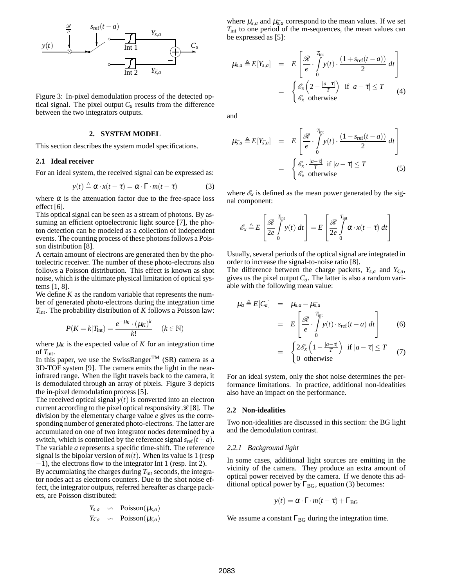

Figure 3: In-pixel demodulation process of the detected optical signal. The pixel output  $C_a$  results from the difference between the two integrators outputs.

## **2. SYSTEM MODEL**

This section describes the system model specifications.

#### **2.1 Ideal receiver**

For an ideal system, the received signal can be expressed as:

$$
y(t) \triangleq \alpha \cdot x(t - \tau) = \alpha \cdot \Gamma \cdot m(t - \tau)
$$
 (3)

where  $\alpha$  is the attenuation factor due to the free-space loss effect [6].

This optical signal can be seen as a stream of photons. By assuming an efficient optoelectronic light source [7], the photon detection can be modeled as a collection of independent events. The counting process of these photons follows a Poisson distribution [8].

A certain amount of electrons are generated then by the photoelectric receiver. The number of these photo-electrons also follows a Poisson distribution. This effect is known as shot noise, which is the ultimate physical limitation of optical systems [1, 8].

We define *K* as the random variable that represents the number of generated photo-electrons during the integration time *T*int. The probability distribution of *K* follows a Poisson law:

$$
P(K = k|T_{\text{int}}) = \frac{e^{-\mu_K} \cdot (\mu_K)^k}{k!} \quad (k \in \mathbb{N})
$$

where  $\mu_K$  is the expected value of *K* for an integration time of *T*int.

In this paper, we use the SwissRanger<sup>TM</sup> (SR) camera as a 3D-TOF system [9]. The camera emits the light in the nearinfrared range. When the light travels back to the camera, it is demodulated through an array of pixels. Figure 3 depicts the in-pixel demodulation process [5].

The received optical signal  $y(t)$  is converted into an electron current according to the pixel optical responsivity  $\mathcal{R}$  [8]. The division by the elementary charge value *e* gives us the corresponding number of generated photo-electrons. The latter are accumulated on one of two integrator nodes determined by a switch, which is controlled by the reference signal  $s_{ref}(t - a)$ . The variable *a* represents a specific time-shift. The reference signal is the bipolar version of  $m(t)$ . When its value is 1 (resp −1), the electrons flow to the integrator Int 1 (resp. Int 2).

By accumulating the charges during  $T_{int}$  seconds, the integrator nodes act as electrons counters. Due to the shot noise effect, the integrator outputs, referred hereafter as charge packets, are Poisson distributed:

$$
Y_{s,a} \sim \text{Poisson}(\mu_{s,a})
$$
  

$$
Y_{\bar{s},a} \sim \text{Poisson}(\mu_{\bar{s},a})
$$

where  $\mu_{s,a}$  and  $\mu_{\bar{s},a}$  correspond to the mean values. If we set *T*int to one period of the m-sequences, the mean values can be expressed as [5]:

$$
\mu_{s,a} \triangleq E[Y_{s,a}] = E\left[\frac{\mathcal{R}}{e} \cdot \int\limits_{0}^{T_{int}} y(t) \cdot \frac{(1+s_{\text{ref}}(t-a))}{2} dt\right]
$$

$$
= \begin{cases} \mathcal{E}_{x} \left(2 - \frac{|a-\tau|}{T}\right) & \text{if } |a-\tau| \leq T \\ \mathcal{E}_{x} & \text{otherwise} \end{cases} (4)
$$

and

$$
\mu_{\bar{s},a} \triangleq E[Y_{\bar{s},a}] = E\left[\frac{\mathcal{R}}{e} \cdot \int\limits_{0}^{T_{int}} y(t) \cdot \frac{(1 - s_{\text{ref}}(t - a))}{2} dt\right]
$$

$$
= \begin{cases} \mathcal{E}_x \cdot \frac{|a - \tau|}{T} & \text{if } |a - \tau| \le T \\ \mathcal{E}_x & \text{otherwise} \end{cases}
$$
(5)

where  $\mathcal{E}_x$  is defined as the mean power generated by the signal component:

$$
\mathcal{E}_x \triangleq E\left[\frac{\mathcal{R}}{2e} \int\limits_{0}^{T_{\rm int}} y(t) dt\right] = E\left[\frac{\mathcal{R}}{2e} \int\limits_{0}^{T_{\rm int}} \alpha \cdot x(t-\tau) dt\right]
$$

Usually, several periods of the optical signal are integrated in order to increase the signal-to-noise ratio [8].

The difference between the charge packets,  $Y_{s,a}$  and  $Y_{\bar{s},a}$ , gives us the pixel output  $C_a$ . The latter is also a random variable with the following mean value:

$$
\mu_a \triangleq E[C_a] = \mu_{s,a} - \mu_{\bar{s},a}
$$
  
= 
$$
E\left[\frac{\mathcal{R}}{e} \cdot \int_0^{T_{\text{int}}} y(t) \cdot s_{\text{ref}}(t-a) dt\right]
$$
 (6)

$$
= \begin{cases} 2\mathscr{E}_x\left(1 - \frac{|a - \tau|}{T}\right) & \text{if } |a - \tau| \leq T \\ 0 & \text{otherwise} \end{cases} (7)
$$

For an ideal system, only the shot noise determines the performance limitations. In practice, additional non-idealities also have an impact on the performance.

#### **2.2 Non-idealities**

Two non-idealities are discussed in this section: the BG light and the demodulation contrast.

#### *2.2.1 Background light*

In some cases, additional light sources are emitting in the vicinity of the camera. They produce an extra amount of optical power received by the camera. If we denote this additional optical power by  $\Gamma_{BG}$ , equation (3) becomes:

$$
y(t) = \alpha \cdot \Gamma \cdot m(t - \tau) + \Gamma_{BG}
$$

We assume a constant  $\Gamma_{\text{BG}}$  during the integration time.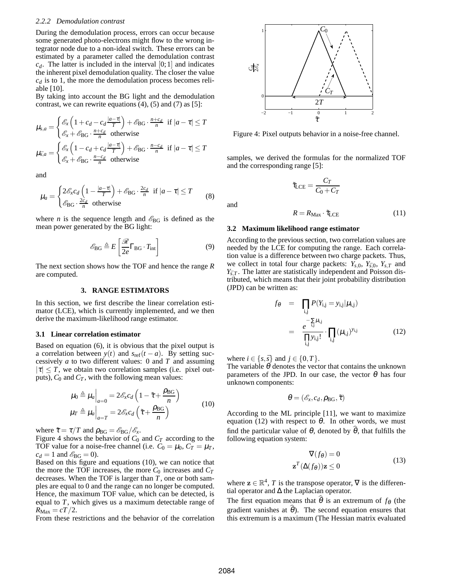#### *2.2.2 Demodulation contrast*

During the demodulation process, errors can occur because some generated photo-electrons might flow to the wrong integrator node due to a non-ideal switch. These errors can be estimated by a parameter called the demodulation contrast  $c_d$ . The latter is included in the interval  $[0,1]$  and indicates the inherent pixel demodulation quality. The closer the value  $c_d$  is to 1, the more the demodulation process becomes reliable [10].

By taking into account the BG light and the demodulation contrast, we can rewrite equations  $(4)$ ,  $(5)$  and  $(7)$  as  $[5]$ :

$$
\mu_{s,a} = \begin{cases} \mathcal{E}_x \left( 1 + c_d - c_d \frac{|a - \tau|}{T} \right) + \mathcal{E}_{BG} \cdot \frac{n + c_d}{n} & \text{if } |a - \tau| \le T \\ \mathcal{E}_x + \mathcal{E}_{BG} \cdot \frac{n + c_d}{n} & \text{otherwise} \end{cases}
$$

$$
\mu_{\bar{s},a} = \begin{cases} \mathcal{E}_x \left( 1 - c_d + c_d \frac{|a - \tau|}{T} \right) + \mathcal{E}_{BG} \cdot \frac{n - c_d}{n} & \text{if } |a - \tau| \le T \\ \mathcal{E}_x + \mathcal{E}_{BG} \cdot \frac{n - c_d}{n} & \text{otherwise} \end{cases}
$$

and

$$
\mu_a = \begin{cases} 2\mathcal{E}_x c_d \left(1 - \frac{|a - \tau|}{T}\right) + \mathcal{E}_{BG} \cdot \frac{2c_d}{n} & \text{if } |a - \tau| \le T \\ \mathcal{E}_{BG} \cdot \frac{2c_d}{n} & \text{otherwise} \end{cases}
$$
 (8)

where *n* is the sequence length and  $\mathscr{E}_{BG}$  is defined as the mean power generated by the BG light:

$$
\mathcal{E}_{\text{BG}} \triangleq E\left[\frac{\mathcal{R}}{2e}\Gamma_{\text{BG}} \cdot T_{\text{int}}\right]
$$
 (9)

The next section shows how the TOF and hence the range *R* are computed.

### **3. RANGE ESTIMATORS**

In this section, we first describe the linear correlation estimator (LCE), which is currently implemented, and we then derive the maximum-likelihood range estimator.

### **3.1 Linear correlation estimator**

Based on equation (6), it is obvious that the pixel output is a correlation between  $y(t)$  and  $s_{ref}(t - a)$ . By setting successively *a* to two different values: 0 and *T* and assuming  $|\tau| \leq T$ , we obtain two correlation samples (i.e. pixel outputs),  $C_0$  and  $C_T$ , with the following mean values:

$$
\mu_0 \triangleq \mu_a \Big|_{a=0} = 2 \mathcal{E}_x c_d \left( 1 - \tilde{\tau} + \frac{\rho_{BG}}{n} \right)
$$
  

$$
\mu_T \triangleq \mu_a \Big|_{a=T} = 2 \mathcal{E}_x c_d \left( \tilde{\tau} + \frac{\rho_{BG}}{n} \right)
$$
 (10)

where  $\tilde{\tau} = \tau/T$  and  $\rho_{BG} = \mathcal{E}_{BG}/\mathcal{E}_x$ .

Figure 4 shows the behavior of  $C_0$  and  $C_T$  according to the TOF value for a noise-free channel (i.e.  $C_0 = \mu_0$ ,  $C_T = \mu_T$ ,  $c_d = 1$  and  $\mathscr{E}_{BG} = 0$ ).

Based on this figure and equations (10), we can notice that the more the TOF increases, the more  $C_0$  increases and  $C_T$ decreases. When the TOF is larger than *T*, one or both samples are equal to 0 and the range can no longer be computed. Hence, the maximum TOF value, which can be detected, is equal to *T*, which gives us a maximum detectable range of  $R_{\text{Max}} = cT/2$ .

From these restrictions and the behavior of the correlation



Figure 4: Pixel outputs behavior in a noise-free channel.

samples, we derived the formulas for the normalized TOF and the corresponding range [5]:

$$
\tilde{\tau}_{\rm LCE} = \frac{C_T}{C_0 + C_T}
$$

and

$$
R = R_{\text{Max}} \cdot \tilde{\tau}_{\text{LCE}} \tag{11}
$$

#### **3.2 Maximum likelihood range estimator**

According to the previous section, two correlation values are needed by the LCE for computing the range. Each correlation value is a difference between two charge packets. Thus, we collect in total four charge packets:  $Y_{s,0}$ ,  $Y_{\bar{s},0}$ ,  $Y_{s,T}$  and  $Y_{\bar{s},T}$ . The latter are statistically independent and Poisson distributed, which means that their joint probability distribution (JPD) can be written as:

$$
f_{\theta} = \prod_{i,j} P(Y_{i,j} = y_{i,j} | \mu_{i,j})
$$
  
= 
$$
\frac{e^{-\sum_{i,j} \mu_{i,j}}}{\prod_{i,j} y_{i,j}!} \cdot \prod_{i,j} (\mu_{i,j})^{y_{i,j}}
$$
(12)

where  $i \in \{s, \bar{s}\}$  and  $j \in \{0, T\}$ .

The variable  $\theta$  denotes the vector that contains the unknown parameters of the JPD. In our case, the vector  $\theta$  has four unknown components:

$$
\boldsymbol{\theta} = (\mathscr{E}_x, c_d, \rho_{BG}, \tilde{\tau})
$$

According to the ML principle [11], we want to maximize equation (12) with respect to  $\theta$ . In other words, we must find the particular value of  $\theta$ , denoted by  $\hat{\theta}$ , that fulfills the following equation system:

$$
\nabla(f_{\theta}) = 0
$$
  

$$
\mathbf{z}^{T}(\Delta(f_{\theta}))\mathbf{z} \le 0
$$
 (13)

where  $z \in \mathbb{R}^4$ , *T* is the transpose operator,  $\nabla$  is the differential operator and ∆ the Laplacian operator.

The first equation means that  $\hat{\theta}$  is an extremum of  $f_{\theta}$  (the gradient vanishes at  $\hat{\theta}$ ). The second equation ensures that this extremum is a maximum (The Hessian matrix evaluated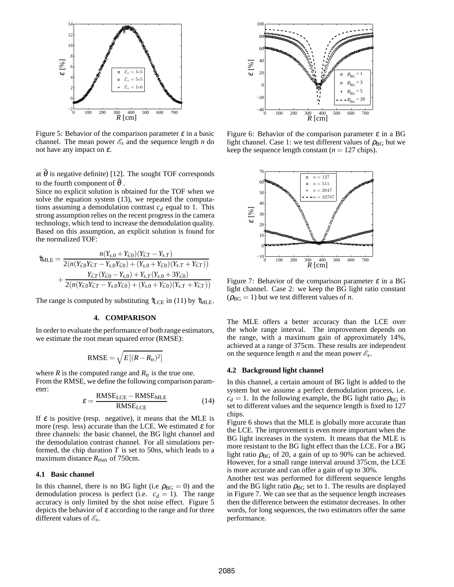

Figure 5: Behavior of the comparison parameter  $\varepsilon$  in a basic channel. The mean power  $\mathcal{E}_x$  and the sequence length *n* do not have any impact on  $\varepsilon$ .

at  $\hat{\theta}$  is negative definite) [12]. The sought TOF corresponds to the fourth component of  $\hat{\theta}$ .

Since no explicit solution is obtained for the TOF when we solve the equation system (13), we repeated the computations assuming a demodulation contrast *c<sup>d</sup>* equal to 1. This strong assumption relies on the recent progress in the camera technology, which tend to increase the demodulation quality. Based on this assumption, an explicit solution is found for the normalized TOF:

$$
\tilde{\tau}_{MLE} = \frac{n(Y_{s,0} + Y_{\bar{s},0})(Y_{\bar{s},T} - Y_{s,T})}{2(n(Y_{\bar{s},0}Y_{\bar{s},T} - Y_{s,0}Y_{\bar{s},0}) + (Y_{s,0} + Y_{\bar{s},0})(Y_{s,T} + Y_{\bar{s},T}))} + \frac{Y_{\bar{s},T}(Y_{\bar{s},0} - Y_{s,0}) + Y_{s,T}(Y_{s,0} + 3Y_{\bar{s},0})}{2(n(Y_{\bar{s},0}Y_{\bar{s},T} - Y_{s,0}Y_{\bar{s},0}) + (Y_{s,0} + Y_{\bar{s},0})(Y_{s,T} + Y_{\bar{s},T}))}
$$

The range is computed by substituting  $\tilde{\tau}_{LCE}$  in (11) by  $\tilde{\tau}_{MLE}$ .

## **4. COMPARISON**

In order to evaluate the performance of both range estimators, we estimate the root mean squared error (RMSE):

$$
RMSE = \sqrt{E[(R - R_{tr})^2]}
$$

where *R* is the computed range and  $R_{tr}$  is the true one. From the RMSE, we define the following comparison parameter:

$$
\varepsilon = \frac{\text{RMSE}_{\text{LCE}} - \text{RMSE}_{\text{MLE}}}{\text{RMSE}_{\text{LCE}}} \tag{14}
$$

If  $\varepsilon$  is positive (resp. negative), it means that the MLE is more (resp. less) accurate than the LCE. We estimated  $\varepsilon$  for three channels: the basic channel, the BG light channel and the demodulation contrast channel. For all simulations performed, the chip duration  $T$  is set to 50ns, which leads to a maximum distance  $R_{\text{max}}$  of 750cm.

### **4.1 Basic channel**

In this channel, there is no BG light (i.e  $\rho_{BG} = 0$ ) and the demodulation process is perfect (i.e.  $c_d = 1$ ). The range accuracy is only limited by the shot noise effect. Figure 5 depicts the behavior of  $\varepsilon$  according to the range and for three different values of  $\mathscr{E}_x$ .



Figure 6: Behavior of the comparison parameter  $\varepsilon$  in a BG light channel. Case 1: we test different values of  $\rho_{BG}$  but we keep the sequence length constant  $(n = 127 \text{ chips})$ .



Figure 7: Behavior of the comparison parameter  $\varepsilon$  in a BG light channel. Case 2: we keep the BG light ratio constant  $(\rho_{BG} = 1)$  but we test different values of *n*.

The MLE offers a better accuracy than the LCE over the whole range interval. The improvement depends on the range, with a maximum gain of approximately 14%, achieved at a range of 375cm. These results are independent on the sequence length *n* and the mean power  $\mathcal{E}_x$ .

#### **4.2 Background light channel**

In this channel, a certain amount of BG light is added to the system but we assume a perfect demodulation process, i.e.  $c_d = 1$ . In the following example, the BG light ratio  $\rho_{BG}$  is set to different values and the sequence length is fixed to 127 chips.

Figure 6 shows that the MLE is globally more accurate than the LCE. The improvement is even more important when the BG light increases in the system. It means that the MLE is more resistant to the BG light effect than the LCE. For a BG light ratio  $\rho_{BG}$  of 20, a gain of up to 90% can be achieved. However, for a small range interval around 375cm, the LCE is more accurate and can offer a gain of up to 30%.

Another test was performed for different sequence lengths and the BG light ratio  $\rho_{BG}$  set to 1. The results are displayed in Figure 7. We can see that as the sequence length increases then the difference between the estimator decreases. In other words, for long sequences, the two estimators offer the same performance.